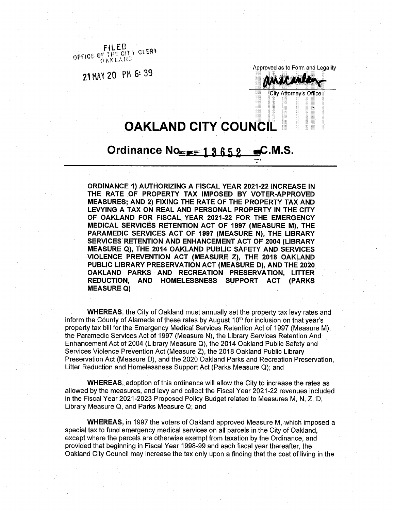$F_{\rm C}^{\rm LLE}$ enty glebk 0,mu. and of net of

**2120 PM 6\*\* <sup>39</sup>**

Approved as to Form and Legality Macanler City Attorney's Office

## **OAKLAND CITY COUNC L**

## **Ordinance NOe^***\* **<sup>3</sup> ft <sup>g</sup> <sup>g</sup> <sup>m</sup>C.M.S.**

**ORDINANCE 1) AUTHORIZING A FISCAL YEAR 2021-22 INCREASE IN THE RATE OF PROPERTY TAX IMPOSED BY VOTER-APPROVED MEASURES; AND 2) FIXING THE RATE OF THE PROPERTY TAX AND LEVYING A TAX ON REAL AND PERSONAL PROPERTY IN THE CITY OF OAKLAND FOR FISCAL YEAR 2021-22 FOR THE EMERGENCY MEDICAL SERVICES RETENTION ACT OF 1997 (MEASURE M), THE PARAMEDIC SERVICES ACT OF 1997 (MEASURE N), THE LIBRARY SERVICES RETENTION AND ENHANCEMENT ACT OF 2004 (LIBRARY MEASURE Q), THE 2014 OAKLAND PUBLIC SAFETY AND SERVICES VIOLENCE PREVENTION ACT (MEASURE Z), THE 2018 OAKLAND PUBLIC LIBRARY PRESERVATION ACT (MEASURE D), AND THE 2020 OAKLAND PARKS AND RECREATION PRESERVATION, LITTER REDUCTION, AND HOMELESSNESS SUPPORT ACT (PARKS MEASURE Q)**

**WHEREAS,** the City of Oakland must annually set the property tax levy rates and inform the County of Alameda of these rates by August  $10<sup>th</sup>$  for inclusion on that year's property tax bill for the Emergency Medical Services Retention Act of 1997 (Measure M), the Paramedic Services Act of 1997 (Measure N), the Library Services Retention And Enhancement Act of 2004 (Library Measure Q), the 2014 Oakland Public Safety and Services Violence Prevention Act (Measure Z), the 2018 Oakland Public Library Preservation Act (Measure D), and the 2020 Oakland Parks and Recreation Preservation, Litter Reduction and Homelessness Support Act (Parks Measure Q); and

**WHEREAS,** adoption of this ordinance will allow the City to increase the rates as allowed by the measures, and levy and collect the Fiscal Year 2021-22 revenues included in the Fiscal Year 2021-2023 Proposed Policy Budget related to Measures M, N, Z, D, Library Measure Q, and Parks Measure Q; and

**WHEREAS,** in 1997 the voters of Oakland approved Measure M, which imposed a special tax to fund emergency medical services on all parcels in the City of Oakland, except where the parcels are otherwise exempt from taxation by the Ordinance, and provided that beginning in Fiscal Year 1998-99 and each fiscal year thereafter, the Oakland City Council may increase the tax only upon a finding that the cost of living in the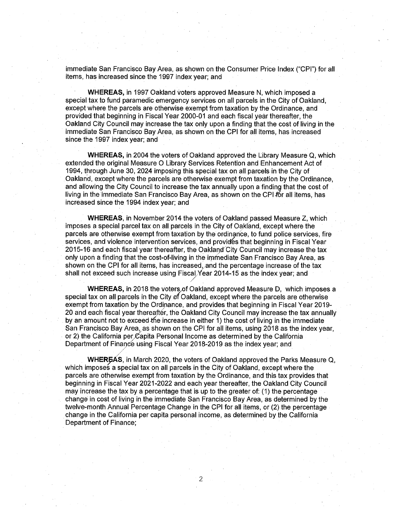immediate San Francisco Bay Area, as shown on the Consumer Price Index ("CPI") for all items, has increased since the 1997 index year; and

**WHEREAS,** in 1997 Oakland voters approved Measure N, which imposed a special tax to fund paramedic emergency services on all parcels in the City of Oakland, except where the parcels are otherwise exempt from taxation by the Ordinance, and provided that beginning in Fiscal Year 2000-01 and each fiscal year thereafter, the Oakland City Council may increase the tax only upon a finding that the cost of living in the immediate San Francisco Bay Area, as shown on the CPI for all items, has increased since the 1997 index year; and

**WHEREAS,** in 2004 the voters of Oakland approved the Library Measure Q, which extended the original Measure O Library Services Retention and Enhancement Act of 1994, through June 30, 2024 imposing this special tax on all parcels in the City of Oakland, except where the parcels are otherwise exempt from taxation by the Ordinance, and allowing the City Council to increase the tax annually upon a finding that the cost of living in the immediate San Francisco Bay Area, as shown on the CPI for all items, has increased since the 1994 index year; and

**WHEREAS,** in November 2014 the voters of Oakland passed Measure Z, which imposes a special parcel tax on all parcels in the City of Oakland, except where the parcels are otherwise exempt from taxation by the ordinance, to fund police services, fire services, and violence intervention services, and provides that beginning in Fiscal Year 2015-16 and each fiscal year thereafter, the Oakland City Council may increase the tax only upon a finding that the cost-of-living in the immediate San Francisco Bay Area, as shown on the CPI for all items, has increased, and the percentage increase of the tax shall not exceed such increase using Fiscal Year 2014-15 as the index year; and

WHEREAS, in 2018 the voters of Oakland approved Measure D, which imposes a special tax on all parcels in the City of Oakland, except where the parcels are otherwise exempt from taxation by the Ordinance, and provides that beginning in Fiscal Year 2019-  $\,$  20 and each fiscal year thereafter, the Oakland City Council may increase the tax annually by an amount not to exceed the increase in either 1) the cost of living in the immediate San Francisco Bay Area, as shown on the CPI for all items, using 2018 as the index year, or 2) the California per Capita Personal Income as determined by the California Department of Finance using Fiscal Year 2018-2019 as the index year; and

**WHEREAS,** in March 2020, the voters of Oakland approved the Parks Measure Q, which imposes a special tax on all parcels in the City of Oakland, except where the parcels are otherwise exempt from taxation by the Ordinance, and this tax provides that beginning in Fiscal Year 2021-2022 and each year thereafter, the Oakland City Council may increase the tax by a percentage that is up to the greater of: (1) the percentage change in cost of living in the immediate San Francisco Bay Area, as determined by the twelve-month Annual Percentage Change in the CPI for all items, or (2) the percentage change in the California per capita personal income, as determined by the California Department of Finance;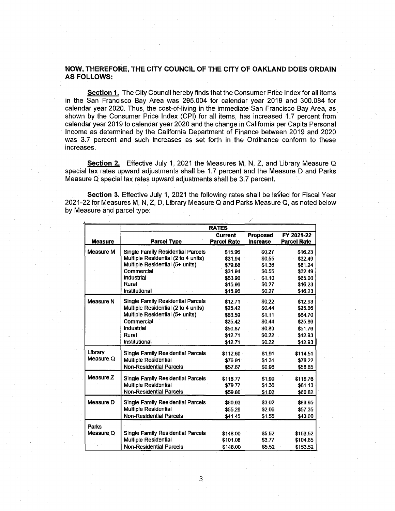## NOW, THEREFORE, THE CITY COUNCIL OF THE CITY OF OAKLAND DOES ORDAIN AS FOLLOWS:

**Section 1.** The City Council hereby finds that the Consumer Price Index for all items in the San Francisco Bay Area was 295.004 for calendar year 2019 and 300.084 for calendar year 2020. Thus, the cost-of-living in the immediate San Francisco Bay Area, as shown by the Consumer Price Index (CPI) for all items, has increased 1.7 percent from calendar year 2019 to calendar year 2020 and the change in California per Capita Personal Income as determined by the California Department of Finance between 2019 and 2020 was 3.7 percent and such increases as set forth in the Ordinance conform to these increases.

**Section 2.** Effective July 1, 2021 the Measures M, N, Z, and Library Measure Q special tax rates upward adjustments shall be 1.7 percent and the Measure D and Parks Measure Q special tax rates upward adjustments shall be 3.7 percent.

**Section 3.** Effective July 1, 2021 the following rates shall be levied for Fiscal Year 2021-22 for Measures M, N, Z, D, Library Measure Q and Parks Measure Q, as noted below by Measure and parcel type:

|                | <b>RATES</b>                             |                    |                 |                    |
|----------------|------------------------------------------|--------------------|-----------------|--------------------|
|                |                                          | <b>Current</b>     | <b>Proposed</b> | FY 2021-22         |
| <b>Measure</b> | <b>Parcel Type</b>                       | <b>Parcel Rate</b> | Increase        | <b>Parcel Rate</b> |
| Measure M      | <b>Single Family Residential Parcels</b> | \$15.96            | \$0.27          | \$16.23            |
|                | Multiple Residential (2 to 4 units)      | \$31.94            | \$0.55          | \$32.49            |
|                | Multiple Residential (5+ units)          | \$79.88            | \$1.36          | \$81.24            |
|                | Commercial                               | \$31.94            | \$0.55          | \$32.49            |
|                | Industrial                               | \$63.90            | \$1.10          | \$65.00            |
|                | Rural                                    | \$15.96            | \$0.27          | \$16.23            |
|                | Institutional                            | \$15.96            | \$0.27          | \$16.23            |
| Measure N      | <b>Single Family Residential Parcels</b> | \$12.71            | \$0.22          | \$12.93            |
|                | Multiple Residential (2 to 4 units)      | \$25.42            | \$0.44          | \$25.86            |
|                | Multiple Residential (5+ units)          | \$63.59            | \$1.11          | \$64.70            |
|                | Commercial                               | \$25.42            | \$0.44          | \$25.86            |
|                | <b>Industrial</b>                        | \$50.87            | \$0.89          | \$51.76            |
|                | Rural                                    | \$12.71            | \$0.22          | \$12.93            |
|                | Institutional                            | \$12.71            | \$0.22          | \$12.93            |
| Library        | <b>Single Family Residential Parcels</b> | \$112.60           | \$1.91          | \$114.51           |
| Measure Q      | <b>Multiple Residential</b>              | \$76.91            | \$1.31          | \$78.22            |
|                | <b>Non-Residential Parcels</b>           | \$57.67            | \$0.98          | \$58.65            |
|                |                                          |                    |                 |                    |
| Measure Z      | <b>Single Family Residential Parcels</b> | \$116.77           | \$1.99          | \$118.76           |
|                | <b>Multiple Residential</b>              | \$79.77            | \$1.36          | $-$ \$81.13        |
|                | <b>Non-Residential Parcels</b>           | \$59.80            | \$1.02          | \$60.82            |
| Measure D      | <b>Single Family Residential Parcels</b> | \$80.93            | \$3.02          | \$83.95            |
|                | <b>Multiple Residential</b>              | \$55.29            | \$2.06          | \$57.35            |
|                | <b>Non-Residential Parcels</b>           | \$41.45            | \$1.55          | \$43.00            |
| Parks          |                                          |                    |                 |                    |
| Measure Q      | <b>Single Family Residential Parcels</b> | \$148.00           | \$5.52          | \$153.52           |
|                | Multiple Residential                     | \$101.08           | \$3.77          | \$104.85           |
|                | <b>Non-Residential Parcels</b>           | \$148.00           | \$5.52          | \$153.52           |

**3 .**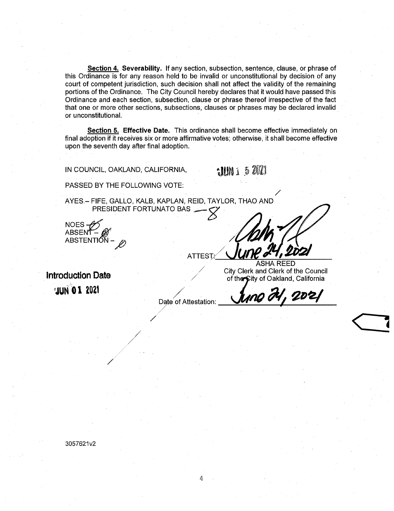**Section 4. Severability.** If any section, subsection, sentence, clause, or phrase of this Ordinance is for any reason held to be invalid or unconstitutional by decision of any court of competent jurisdiction, such decision shall not affect the validity of the remaining portions of the Ordinance. The City Council hereby declares that it would have passed this Ordinance and each section, subsection, clause or phrase thereof irrespective of the fact that one or more other sections, subsections, clauses or phrases may be declared invalid or unconstitutional.

**Section 5. Effective Date.** This ordinance shall become effective immediately on final adoption if it receives six or more affirmative votes; otherwise, it shall become effective upon the seventh day after final adoption.

**in COUNCIL, OAKLAND, CALIFORNIA, <b>1 1 1 1 6 2021** 

PASSED BY THE FOLLOWING VOTE:

AYES - FIFE, GALLO, KALB, KAPLAN, REID, TAYLOR, THAO AND PRESIDENT FORTUNATO BAS

/

NOES *-py* NUES <del>-//</del><br>ABSENT – *0*<br>ABSTENTION : ABSTENTION -

/

**ATTEST** 

**'JUN 01 <sup>1011</sup>**

**ASHA REED City Clerk and Clerk of the Council introduction Date**<br> **Introduction Date**<br> **ASHA** California of the Council of the Council of the Council of the Council of the Council

2021 Date of Attestation:

3057621v2

4